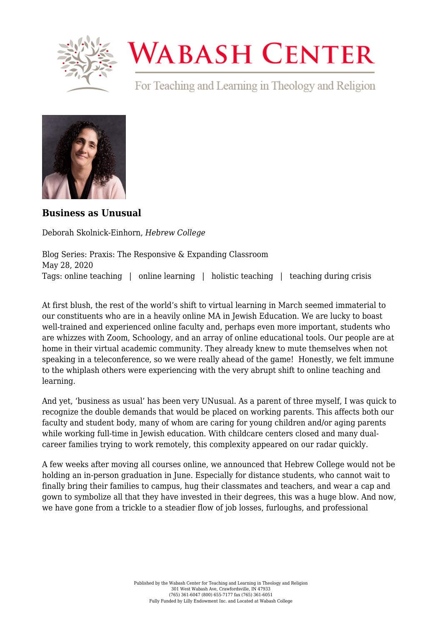

## **WABASH CENTER**

For Teaching and Learning in Theology and Religion



**[Business as Unusual](https://www.wabashcenter.wabash.edu/2020/05/business-as-unusual/)**

Deborah Skolnick-Einhorn, *Hebrew College*

Blog Series: Praxis: The Responsive & Expanding Classroom May 28, 2020 Tags: online teaching | online learning | holistic teaching | teaching during crisis

At first blush, the rest of the world's shift to virtual learning in March seemed immaterial to our constituents who are in a heavily online MA in Jewish Education. We are lucky to boast well-trained and experienced online faculty and, perhaps even more important, students who are whizzes with Zoom, Schoology, and an array of online educational tools. Our people are at home in their virtual academic community. They already knew to mute themselves when not speaking in a teleconference, so we were really ahead of the game! Honestly, we felt immune to the whiplash others were experiencing with the very abrupt shift to online teaching and learning.

And yet, 'business as usual' has been very UNusual. As a parent of three myself, I was quick to recognize the double demands that would be placed on working parents. This affects both our faculty and student body, many of whom are caring for young children and/or aging parents while working full-time in Jewish education. With childcare centers closed and many dualcareer families trying to work remotely, this complexity appeared on our radar quickly.

A few weeks after moving all courses online, we announced that Hebrew College would not be holding an in-person graduation in June. Especially for distance students, who cannot wait to finally bring their families to campus, hug their classmates and teachers, and wear a cap and gown to symbolize all that they have invested in their degrees, this was a huge blow. And now, we have gone from a trickle to a steadier flow of job losses, furloughs, and professional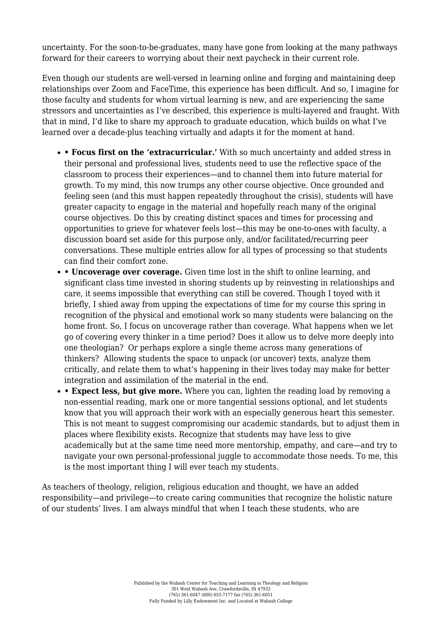uncertainty. For the soon-to-be-graduates, many have gone from looking at the many pathways forward for their careers to worrying about their next paycheck in their current role.

Even though our students are well-versed in learning online and forging and maintaining deep relationships over Zoom and FaceTime, this experience has been difficult. And so, I imagine for those faculty and students for whom virtual learning is new, and are experiencing the same stressors and uncertainties as I've described, this experience is multi-layered and fraught. With that in mind, I'd like to share my approach to graduate education, which builds on what I've learned over a decade-plus teaching virtually and adapts it for the moment at hand.

- **Focus first on the 'extracurricular.'** With so much uncertainty and added stress in their personal and professional lives, students need to use the reflective space of the classroom to process their experiences—and to channel them into future material for growth. To my mind, this now trumps any other course objective. Once grounded and feeling seen (and this must happen repeatedly throughout the crisis), students will have greater capacity to engage in the material and hopefully reach many of the original course objectives. Do this by creating distinct spaces and times for processing and opportunities to grieve for whatever feels lost—this may be one-to-ones with faculty, a discussion board set aside for this purpose only, and/or facilitated/recurring peer conversations. These multiple entries allow for all types of processing so that students can find their comfort zone.
- **Uncoverage over coverage.** Given time lost in the shift to online learning, and significant class time invested in shoring students up by reinvesting in relationships and care, it seems impossible that everything can still be covered. Though I toyed with it briefly, I shied away from upping the expectations of time for my course this spring in recognition of the physical and emotional work so many students were balancing on the home front. So, I focus on uncoverage rather than coverage. What happens when we let go of covering every thinker in a time period? Does it allow us to delve more deeply into one theologian? Or perhaps explore a single theme across many generations of thinkers? Allowing students the space to unpack (or uncover) texts, analyze them critically, and relate them to what's happening in their lives today may make for better integration and assimilation of the material in the end.
- **Expect less, but give more.** Where you can, lighten the reading load by removing a non-essential reading, mark one or more tangential sessions optional, and let students know that you will approach their work with an especially generous heart this semester. This is not meant to suggest compromising our academic standards, but to adjust them in places where flexibility exists. Recognize that students may have less to give academically but at the same time need more mentorship, empathy, and care—and try to navigate your own personal-professional juggle to accommodate those needs. To me, this is the most important thing I will ever teach my students.

As teachers of theology, religion, religious education and thought, we have an added responsibility—and privilege—to create caring communities that recognize the holistic nature of our students' lives. I am always mindful that when I teach these students, who are